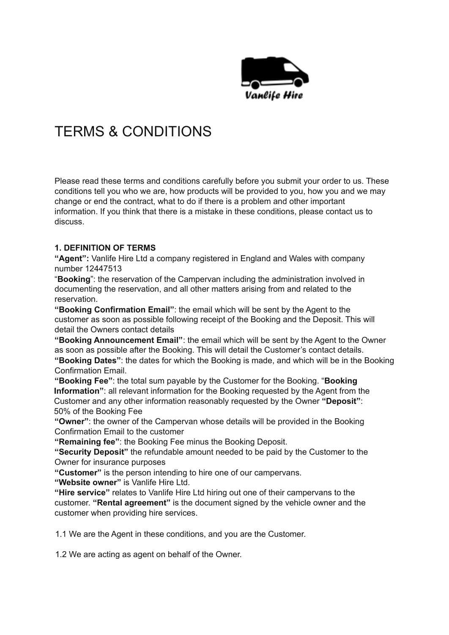

# TERMS & CONDITIONS

Please read these terms and conditions carefully before you submit your order to us. These conditions tell you who we are, how products will be provided to you, how you and we may change or end the contract, what to do if there is a problem and other important information. If you think that there is a mistake in these conditions, please contact us to discuss.

### **1. DEFINITION OF TERMS**

**"Agent":** Vanlife Hire Ltd a company registered in England and Wales with company number 12447513

"**Booking**": the reservation of the Campervan including the administration involved in documenting the reservation, and all other matters arising from and related to the reservation.

**"Booking Confirmation Email"**: the email which will be sent by the Agent to the customer as soon as possible following receipt of the Booking and the Deposit. This will detail the Owners contact details

**"Booking Announcement Email"**: the email which will be sent by the Agent to the Owner as soon as possible after the Booking. This will detail the Customer's contact details. **"Booking Dates"**: the dates for which the Booking is made, and which will be in the Booking Confirmation Email.

**"Booking Fee"**: the total sum payable by the Customer for the Booking. "**Booking Information"**: all relevant information for the Booking requested by the Agent from the Customer and any other information reasonably requested by the Owner **"Deposit"**: 50% of the Booking Fee

**"Owner"**: the owner of the Campervan whose details will be provided in the Booking Confirmation Email to the customer

**"Remaining fee"**: the Booking Fee minus the Booking Deposit.

**"Security Deposit"** the refundable amount needed to be paid by the Customer to the Owner for insurance purposes

**"Customer"** is the person intending to hire one of our campervans.

**"Website owner"** is Vanlife Hire Ltd.

**"Hire service"** relates to Vanlife Hire Ltd hiring out one of their campervans to the customer. **"Rental agreement"** is the document signed by the vehicle owner and the customer when providing hire services.

1.1 We are the Agent in these conditions, and you are the Customer.

1.2 We are acting as agent on behalf of the Owner.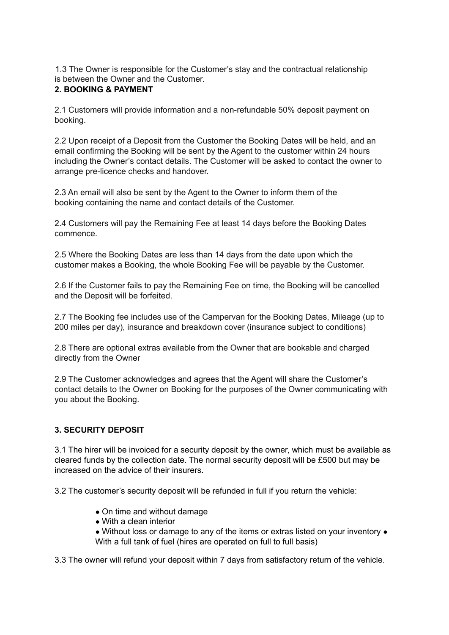1.3 The Owner is responsible for the Customer's stay and the contractual relationship is between the Owner and the Customer.

## **2. BOOKING & PAYMENT**

2.1 Customers will provide information and a non-refundable 50% deposit payment on booking.

2.2 Upon receipt of a Deposit from the Customer the Booking Dates will be held, and an email confirming the Booking will be sent by the Agent to the customer within 24 hours including the Owner's contact details. The Customer will be asked to contact the owner to arrange pre-licence checks and handover.

2.3 An email will also be sent by the Agent to the Owner to inform them of the booking containing the name and contact details of the Customer.

2.4 Customers will pay the Remaining Fee at least 14 days before the Booking Dates commence.

2.5 Where the Booking Dates are less than 14 days from the date upon which the customer makes a Booking, the whole Booking Fee will be payable by the Customer.

2.6 If the Customer fails to pay the Remaining Fee on time, the Booking will be cancelled and the Deposit will be forfeited.

2.7 The Booking fee includes use of the Campervan for the Booking Dates, Mileage (up to 200 miles per day), insurance and breakdown cover (insurance subject to conditions)

2.8 There are optional extras available from the Owner that are bookable and charged directly from the Owner

2.9 The Customer acknowledges and agrees that the Agent will share the Customer's contact details to the Owner on Booking for the purposes of the Owner communicating with you about the Booking.

#### **3. SECURITY DEPOSIT**

3.1 The hirer will be invoiced for a security deposit by the owner, which must be available as cleared funds by the collection date. The normal security deposit will be £500 but may be increased on the advice of their insurers.

3.2 The customer's security deposit will be refunded in full if you return the vehicle:

- On time and without damage
- With a clean interior
- Without loss or damage to any of the items or extras listed on your inventory With a full tank of fuel (hires are operated on full to full basis)

3.3 The owner will refund your deposit within 7 days from satisfactory return of the vehicle.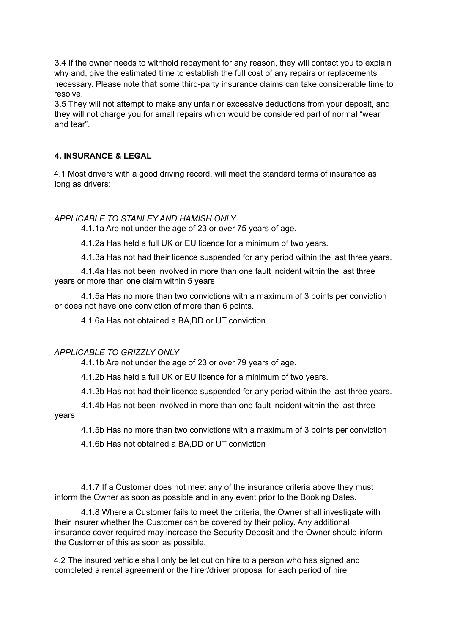3.4 If the owner needs to withhold repayment for any reason, they will contact you to explain why and, give the estimated time to establish the full cost of any repairs or replacements necessary. Please note that some third-party insurance claims can take considerable time to resolve.

3.5 They will not attempt to make any unfair or excessive deductions from your deposit, and they will not charge you for small repairs which would be considered part of normal "wear and tear".

#### **4. INSURANCE & LEGAL**

4.1 Most drivers with a good driving record, will meet the standard terms of insurance as long as drivers:

#### *APPLICABLE TO STANLEY AND HAMISH ONLY*

4.1.1a Are not under the age of 23 or over 75 years of age.

4.1.2a Has held a full UK or EU licence for a minimum of two years.

4.1.3a Has not had their licence suspended for any period within the last three years.

4.1.4a Has not been involved in more than one fault incident within the last three years or more than one claim within 5 years

4.1.5a Has no more than two convictions with a maximum of 3 points per conviction or does not have one conviction of more than 6 points.

4.1.6a Has not obtained a BA,DD or UT conviction

#### *APPLICABLE TO GRIZZLY ONLY*

4.1.1b Are not under the age of 23 or over 79 years of age.

4.1.2b Has held a full UK or EU licence for a minimum of two years.

4.1.3b Has not had their licence suspended for any period within the last three years.

4.1.4b Has not been involved in more than one fault incident within the last three years

4.1.5b Has no more than two convictions with a maximum of 3 points per conviction

4.1.6b Has not obtained a BA,DD or UT conviction

4.1.7 If a Customer does not meet any of the insurance criteria above they must inform the Owner as soon as possible and in any event prior to the Booking Dates.

4.1.8 Where a Customer fails to meet the criteria, the Owner shall investigate with their insurer whether the Customer can be covered by their policy. Any additional insurance cover required may increase the Security Deposit and the Owner should inform the Customer of this as soon as possible.

4.2 The insured vehicle shall only be let out on hire to a person who has signed and completed a rental agreement or the hirer/driver proposal for each period of hire.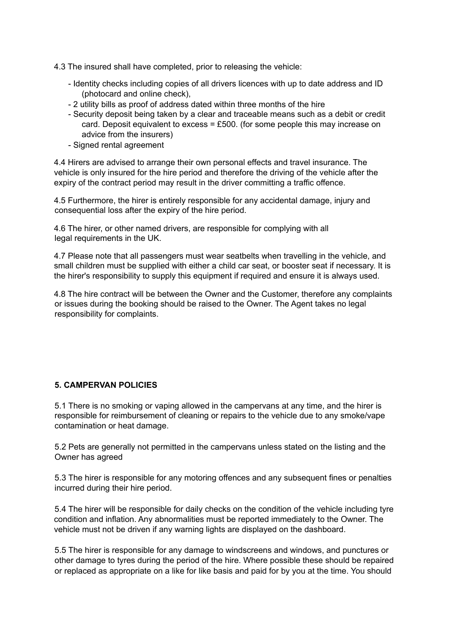- 4.3 The insured shall have completed, prior to releasing the vehicle:
	- Identity checks including copies of all drivers licences with up to date address and ID (photocard and online check),
	- 2 utility bills as proof of address dated within three months of the hire
	- Security deposit being taken by a clear and traceable means such as a debit or credit card. Deposit equivalent to excess =  $£500$ . (for some people this may increase on advice from the insurers)
	- Signed rental agreement

4.4 Hirers are advised to arrange their own personal effects and travel insurance. The vehicle is only insured for the hire period and therefore the driving of the vehicle after the expiry of the contract period may result in the driver committing a traffic offence.

4.5 Furthermore, the hirer is entirely responsible for any accidental damage, injury and consequential loss after the expiry of the hire period.

4.6 The hirer, or other named drivers, are responsible for complying with all legal requirements in the UK.

4.7 Please note that all passengers must wear seatbelts when travelling in the vehicle, and small children must be supplied with either a child car seat, or booster seat if necessary. It is the hirer's responsibility to supply this equipment if required and ensure it is always used.

4.8 The hire contract will be between the Owner and the Customer, therefore any complaints or issues during the booking should be raised to the Owner. The Agent takes no legal responsibility for complaints.

#### **5. CAMPERVAN POLICIES**

5.1 There is no smoking or vaping allowed in the campervans at any time, and the hirer is responsible for reimbursement of cleaning or repairs to the vehicle due to any smoke/vape contamination or heat damage.

5.2 Pets are generally not permitted in the campervans unless stated on the listing and the Owner has agreed

5.3 The hirer is responsible for any motoring offences and any subsequent fines or penalties incurred during their hire period.

5.4 The hirer will be responsible for daily checks on the condition of the vehicle including tyre condition and inflation. Any abnormalities must be reported immediately to the Owner. The vehicle must not be driven if any warning lights are displayed on the dashboard.

5.5 The hirer is responsible for any damage to windscreens and windows, and punctures or other damage to tyres during the period of the hire. Where possible these should be repaired or replaced as appropriate on a like for like basis and paid for by you at the time. You should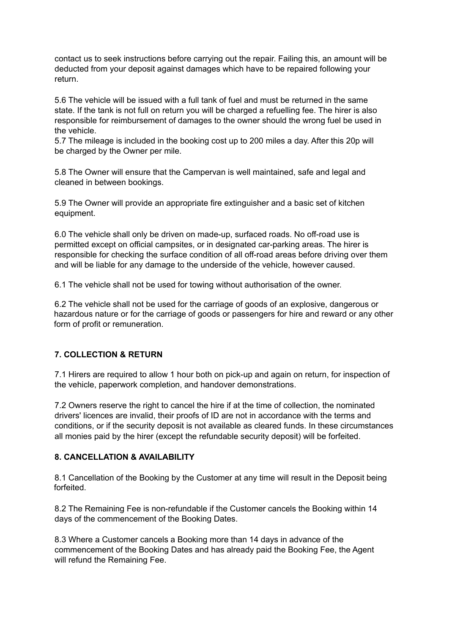contact us to seek instructions before carrying out the repair. Failing this, an amount will be deducted from your deposit against damages which have to be repaired following your return.

5.6 The vehicle will be issued with a full tank of fuel and must be returned in the same state. If the tank is not full on return you will be charged a refuelling fee. The hirer is also responsible for reimbursement of damages to the owner should the wrong fuel be used in the vehicle.

5.7 The mileage is included in the booking cost up to 200 miles a day. After this 20p will be charged by the Owner per mile.

5.8 The Owner will ensure that the Campervan is well maintained, safe and legal and cleaned in between bookings.

5.9 The Owner will provide an appropriate fire extinguisher and a basic set of kitchen equipment.

6.0 The vehicle shall only be driven on made-up, surfaced roads. No off-road use is permitted except on official campsites, or in designated car-parking areas. The hirer is responsible for checking the surface condition of all off-road areas before driving over them and will be liable for any damage to the underside of the vehicle, however caused.

6.1 The vehicle shall not be used for towing without authorisation of the owner.

6.2 The vehicle shall not be used for the carriage of goods of an explosive, dangerous or hazardous nature or for the carriage of goods or passengers for hire and reward or any other form of profit or remuneration.

#### **7. COLLECTION & RETURN**

7.1 Hirers are required to allow 1 hour both on pick-up and again on return, for inspection of the vehicle, paperwork completion, and handover demonstrations.

7.2 Owners reserve the right to cancel the hire if at the time of collection, the nominated drivers' licences are invalid, their proofs of ID are not in accordance with the terms and conditions, or if the security deposit is not available as cleared funds. In these circumstances all monies paid by the hirer (except the refundable security deposit) will be forfeited.

#### **8. CANCELLATION & AVAILABILITY**

8.1 Cancellation of the Booking by the Customer at any time will result in the Deposit being forfeited.

8.2 The Remaining Fee is non-refundable if the Customer cancels the Booking within 14 days of the commencement of the Booking Dates.

8.3 Where a Customer cancels a Booking more than 14 days in advance of the commencement of the Booking Dates and has already paid the Booking Fee, the Agent will refund the Remaining Fee.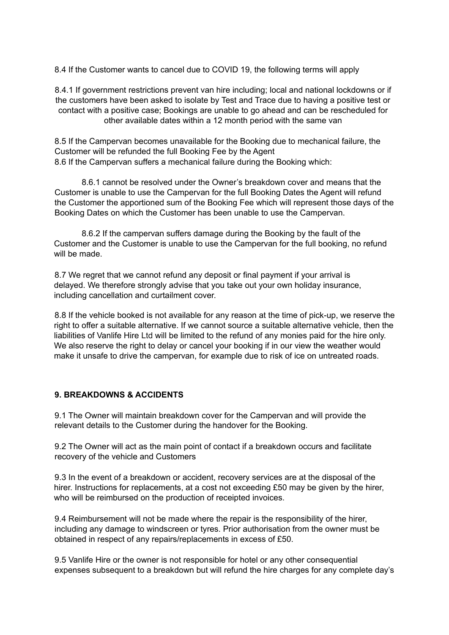8.4 If the Customer wants to cancel due to COVID 19, the following terms will apply

8.4.1 If government restrictions prevent van hire including; local and national lockdowns or if the customers have been asked to isolate by Test and Trace due to having a positive test or contact with a positive case; Bookings are unable to go ahead and can be rescheduled for other available dates within a 12 month period with the same van

8.5 If the Campervan becomes unavailable for the Booking due to mechanical failure, the Customer will be refunded the full Booking Fee by the Agent 8.6 If the Campervan suffers a mechanical failure during the Booking which:

8.6.1 cannot be resolved under the Owner's breakdown cover and means that the Customer is unable to use the Campervan for the full Booking Dates the Agent will refund the Customer the apportioned sum of the Booking Fee which will represent those days of the Booking Dates on which the Customer has been unable to use the Campervan.

8.6.2 If the campervan suffers damage during the Booking by the fault of the Customer and the Customer is unable to use the Campervan for the full booking, no refund will be made.

8.7 We regret that we cannot refund any deposit or final payment if your arrival is delayed. We therefore strongly advise that you take out your own holiday insurance, including cancellation and curtailment cover.

8.8 If the vehicle booked is not available for any reason at the time of pick-up, we reserve the right to offer a suitable alternative. If we cannot source a suitable alternative vehicle, then the liabilities of Vanlife Hire Ltd will be limited to the refund of any monies paid for the hire only. We also reserve the right to delay or cancel your booking if in our view the weather would make it unsafe to drive the campervan, for example due to risk of ice on untreated roads.

#### **9. BREAKDOWNS & ACCIDENTS**

9.1 The Owner will maintain breakdown cover for the Campervan and will provide the relevant details to the Customer during the handover for the Booking.

9.2 The Owner will act as the main point of contact if a breakdown occurs and facilitate recovery of the vehicle and Customers

9.3 In the event of a breakdown or accident, recovery services are at the disposal of the hirer. Instructions for replacements, at a cost not exceeding £50 may be given by the hirer, who will be reimbursed on the production of receipted invoices.

9.4 Reimbursement will not be made where the repair is the responsibility of the hirer, including any damage to windscreen or tyres. Prior authorisation from the owner must be obtained in respect of any repairs/replacements in excess of £50.

9.5 Vanlife Hire or the owner is not responsible for hotel or any other consequential expenses subsequent to a breakdown but will refund the hire charges for any complete day's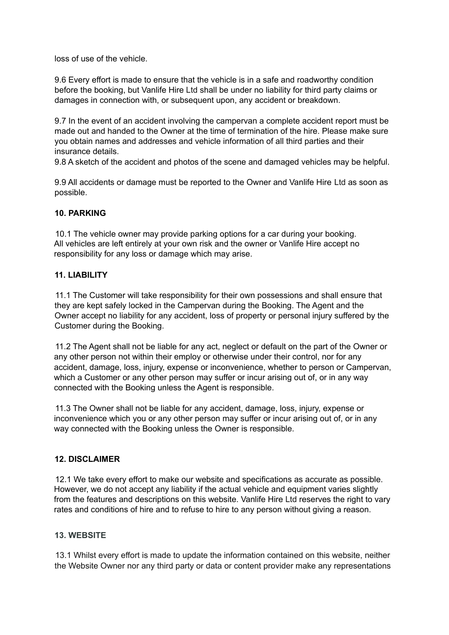loss of use of the vehicle.

9.6 Every effort is made to ensure that the vehicle is in a safe and roadworthy condition before the booking, but Vanlife Hire Ltd shall be under no liability for third party claims or damages in connection with, or subsequent upon, any accident or breakdown.

9.7 In the event of an accident involving the campervan a complete accident report must be made out and handed to the Owner at the time of termination of the hire. Please make sure you obtain names and addresses and vehicle information of all third parties and their insurance details.

9.8 A sketch of the accident and photos of the scene and damaged vehicles may be helpful.

9.9 All accidents or damage must be reported to the Owner and Vanlife Hire Ltd as soon as possible.

#### **10. PARKING**

10.1 The vehicle owner may provide parking options for a car during your booking. All vehicles are left entirely at your own risk and the owner or Vanlife Hire accept no responsibility for any loss or damage which may arise.

#### **11. LIABILITY**

11.1 The Customer will take responsibility for their own possessions and shall ensure that they are kept safely locked in the Campervan during the Booking. The Agent and the Owner accept no liability for any accident, loss of property or personal injury suffered by the Customer during the Booking.

11.2 The Agent shall not be liable for any act, neglect or default on the part of the Owner or any other person not within their employ or otherwise under their control, nor for any accident, damage, loss, injury, expense or inconvenience, whether to person or Campervan, which a Customer or any other person may suffer or incur arising out of, or in any way connected with the Booking unless the Agent is responsible.

11.3 The Owner shall not be liable for any accident, damage, loss, injury, expense or inconvenience which you or any other person may suffer or incur arising out of, or in any way connected with the Booking unless the Owner is responsible.

#### **12. DISCLAIMER**

12.1 We take every effort to make our website and specifications as accurate as possible. However, we do not accept any liability if the actual vehicle and equipment varies slightly from the features and descriptions on this website. Vanlife Hire Ltd reserves the right to vary rates and conditions of hire and to refuse to hire to any person without giving a reason.

#### **13. WEBSITE**

13.1 Whilst every effort is made to update the information contained on this website, neither the Website Owner nor any third party or data or content provider make any representations